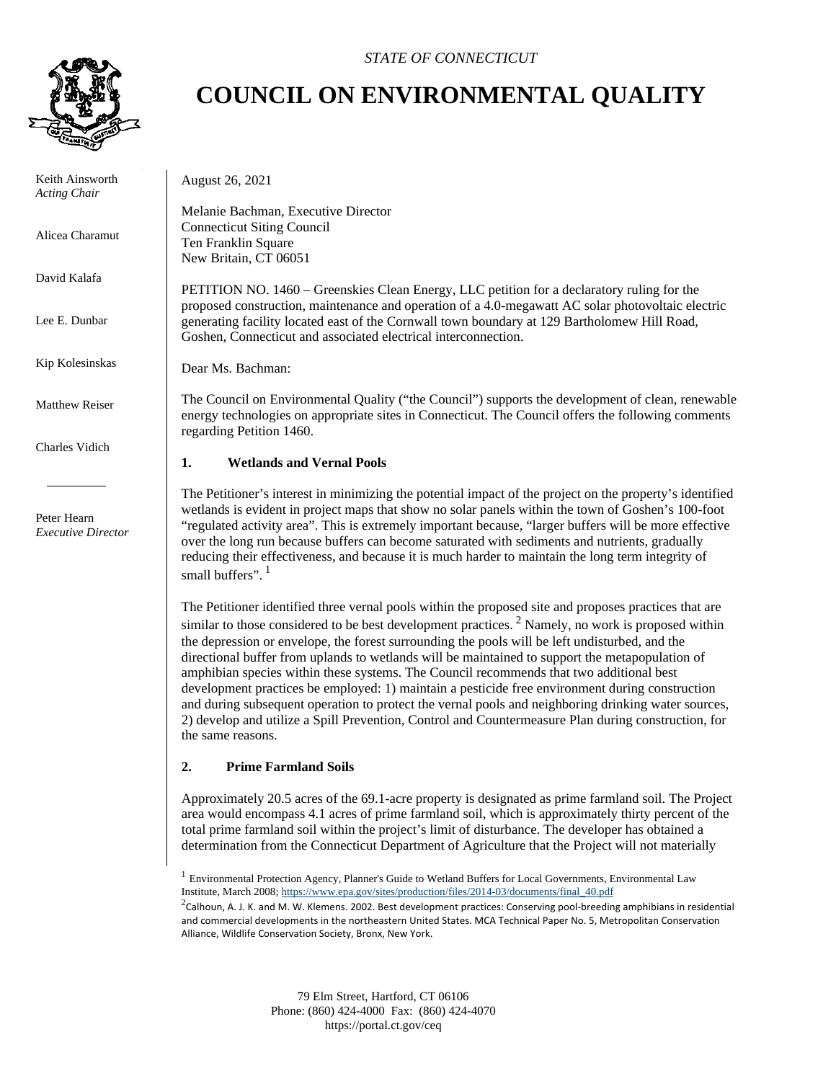

 Keith Ainsworth *Acting Chair*

Alicea Charamut

David Kalafa

Lee E. Dunbar

Kip Kolesinskas

Matthew Reiser

Charles Vidich

 Peter Hearn *Executive Director*

## *STATE OF CONNECTICUT*

# **COUNCIL ON ENVIRONMENTAL QUALITY**

August 26, 2021

Melanie Bachman, Executive Director Connecticut Siting Council Ten Franklin Square New Britain, CT 06051

PETITION NO. 1460 – Greenskies Clean Energy, LLC petition for a declaratory ruling for the proposed construction, maintenance and operation of a 4.0-megawatt AC solar photovoltaic electric generating facility located east of the Cornwall town boundary at 129 Bartholomew Hill Road, Goshen, Connecticut and associated electrical interconnection.

Dear Ms. Bachman:

The Council on Environmental Quality ("the Council") supports the development of clean, renewable energy technologies on appropriate sites in Connecticut. The Council offers the following comments regarding Petition 1460.

#### **1. Wetlands and Vernal Pools**

The Petitioner's interest in minimizing the potential impact of the project on the property's identified wetlands is evident in project maps that show no solar panels within the town of Goshen's 100-foot "regulated activity area". This is extremely important because, "larger buffers will be more effective over the long run because buffers can become saturated with sediments and nutrients, gradually reducing their effectiveness, and because it is much harder to maintain the long term integrity of small buffers". 1

The Petitioner identified three vernal pools within the proposed site and proposes practices that are similar to those considered to be best development practices.<sup>2</sup> Namely, no work is proposed within the depression or envelope, the forest surrounding the pools will be left undisturbed, and the directional buffer from uplands to wetlands will be maintained to support the metapopulation of amphibian species within these systems. The Council recommends that two additional best development practices be employed: 1) maintain a pesticide free environment during construction and during subsequent operation to protect the vernal pools and neighboring drinking water sources, 2) develop and utilize a Spill Prevention, Control and Countermeasure Plan during construction, for the same reasons.

### **2. Prime Farmland Soils**

Approximately 20.5 acres of the 69.1-acre property is designated as prime farmland soil. The Project area would encompass 4.1 acres of prime farmland soil, which is approximately thirty percent of the total prime farmland soil within the project's limit of disturbance. The developer has obtained a determination from the Connecticut Department of Agriculture that the Project will not materially

<sup>&</sup>lt;sup>1</sup> Environmental Protection Agency, Planner's Guide to Wetland Buffers for Local Governments, Environmental Law Institute, March 2008[; https://www.epa.gov/sites/production/files/2014-03/documents/final\\_40.pdf](https://www.epa.gov/sites/production/files/2014-03/documents/final_40.pdf)

<sup>&</sup>lt;sup>2</sup>Calhoun, A. J. K. and M. W. Klemens. 2002. Best development practices: Conserving pool-breeding amphibians in residential and commercial developments in the northeastern United States. MCA Technical Paper No. 5, Metropolitan Conservation Alliance, Wildlife Conservation Society, Bronx, New York.